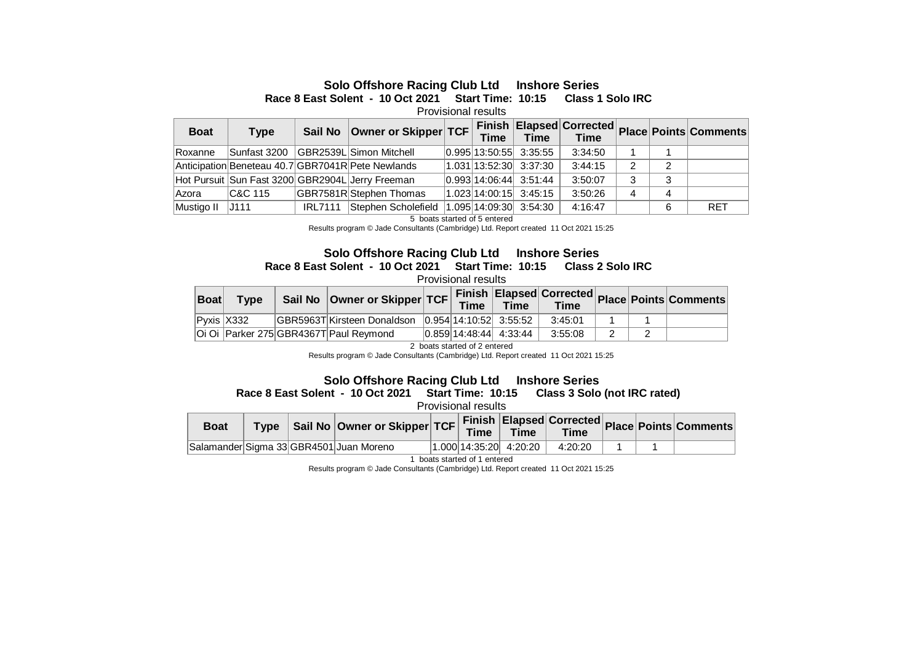## **Solo Offshore Racing Club Ltd Inshore Series**

**Race 8 East Solent - 10 Oct 2021 Start Time: 10:15 Class 1 Solo IRC** 

Provisional results

| <b>Boat</b> | <b>Type</b>  | Sail No        | Owner or Skipper TCF                              |  | <b>Time</b>                |         |   |   |            |
|-------------|--------------|----------------|---------------------------------------------------|--|----------------------------|---------|---|---|------------|
| Roxanne     | Sunfast 3200 |                | GBR2539L Simon Mitchell                           |  | $ 0.995 13:50:55 $ 3:35:55 | 3:34:50 |   |   |            |
|             |              |                | Anticipation Beneteau 40.7 GBR7041R Pete Newlands |  | 1.031 13:52:30 3:37:30     | 3:44:15 | 2 | 2 |            |
|             |              |                | Hot Pursuit Sun Fast 3200 GBR2904L Jerry Freeman  |  | $ 0.993 14:06:44$ 3:51:44  | 3:50:07 | 3 | 3 |            |
| Azora       | IC&C 115     |                | GBR7581R Stephen Thomas                           |  | 1.023 14:00:15 3:45:15     | 3:50:26 | 4 | 4 |            |
| Mustigo II  | J111         | <b>IRL7111</b> | Stephen Scholefield                               |  | $ 1.095 14:09:30 $ 3:54:30 | 4:16:47 |   | 6 | <b>RET</b> |

5 boats started of 5 entered

Results program © Jade Consultants (Cambridge) Ltd. Report created 11 Oct 2021 15:25

## **Solo Offshore Racing Club Ltd Inshore Series Race 8 East Solent - 10 Oct 2021 Start Time: 10:15 Class 2 Solo IRC**

Provisional results

| <b>Boat</b> | <b>Type</b> | Sail No   Owner or Skipper   TCF                       | Time | <b>Time</b>               | <b>Time</b> |  | <b>COLLET Finish Elapsed Corrected Place Points Comments</b> |
|-------------|-------------|--------------------------------------------------------|------|---------------------------|-------------|--|--------------------------------------------------------------|
|             | Pvxis X332  | GBR5963T Kirsteen Donaldson   0.954   14:10:52 3:55:52 |      |                           | 3:45:01     |  |                                                              |
|             |             | Oi Oi Parker 275 GBR4367T Paul Reymond                 |      | $ 0.859 14:48:44$ 4:33:44 | 3:55:08     |  |                                                              |

2 boats started of 2 entered

Results program © Jade Consultants (Cambridge) Ltd. Report created 11 Oct 2021 15:25

Solo Offshore Racing Club Ltd Inshore Series<br> **Solo (not IRC rated)** Start Time: 10:15 Class 3 Solo (not IRC rated) **Race 8 East Solent - 10 Oct 2021 Start Time: 10:15** 

Provisional results

| <b>Boat</b> |  | Type Sail No Owner or Skipper TCF Finish Elapsed Corrected Place Points Comments. |  |                        |         |  |  |
|-------------|--|-----------------------------------------------------------------------------------|--|------------------------|---------|--|--|
|             |  | Salamander Sigma 33 GBR4501 Juan Moreno                                           |  | 1.000 14:35:20 4:20:20 | 4:20:20 |  |  |

1 boats started of 1 entered

Results program © Jade Consultants (Cambridge) Ltd. Report created 11 Oct 2021 15:25